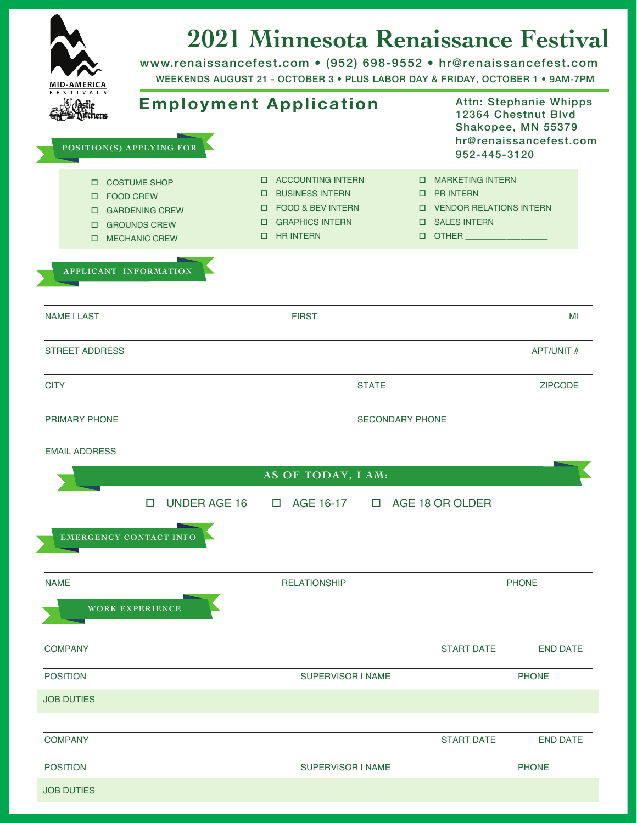